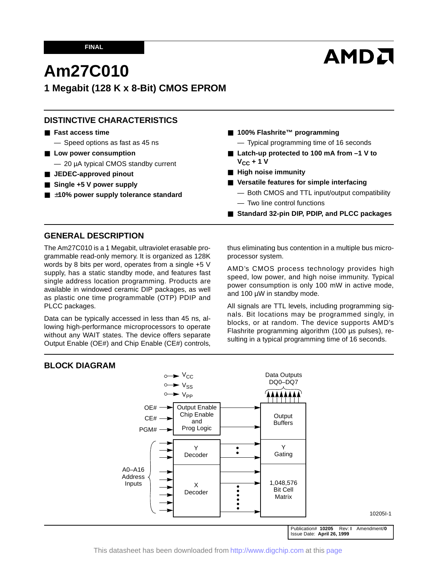# **AMDA**

# **Am27C010**

# **1 Megabit (128 K x 8-Bit) CMOS EPROM**

# **DISTINCTIVE CHARACTERISTICS**

- **Fast access time**
	- Speed options as fast as 45 ns
- Low power consumption
	- 20 µA typical CMOS standby current
- **JEDEC-approved pinout**
- Single +5 V power supply
- ±10% power supply tolerance standard
- **100% Flashrite™ programming** 
	- Typical programming time of 16 seconds
- Latch-up protected to 100 mA from -1 V to  $V_{CC}$  + 1 V
- **High noise immunity**
- Versatile features for simple interfacing
	- Both CMOS and TTL input/output compatibility — Two line control functions
- **Standard 32-pin DIP, PDIP, and PLCC packages**

## **GENERAL DESCRIPTION**

The Am27C010 is a 1 Megabit, ultraviolet erasable programmable read-only memory. It is organized as 128K words by 8 bits per word, operates from a single +5 V supply, has a static standby mode, and features fast single address location programming. Products are available in windowed ceramic DIP packages, as well as plastic one time programmable (OTP) PDIP and PLCC packages.

Data can be typically accessed in less than 45 ns, allowing high-performance microprocessors to operate without any WAIT states. The device offers separate Output Enable (OE#) and Chip Enable (CE#) controls, thus eliminating bus contention in a multiple bus microprocessor system.

AMD's CMOS process technology provides high speed, low power, and high noise immunity. Typical power consumption is only 100 mW in active mode, and 100 µW in standby mode.

All signals are TTL levels, including programming signals. Bit locations may be programmed singly, in blocks, or at random. The device supports AMD's Flashrite programming algorithm (100 µs pulses), resulting in a typical programming time of 16 seconds.

## **BLOCK DIAGRAM**



This datasheet has been downloaded from <http://www.digchip.com> at this [page](https://www.digchip.com/datasheets/parts/datasheet/013/27C010.php)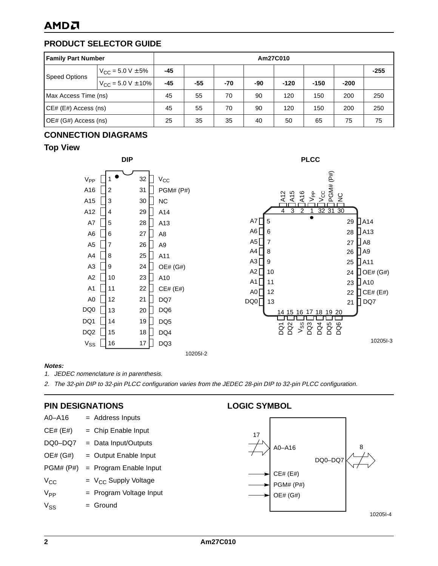# **AMDA**

# **PRODUCT SELECTOR GUIDE**

| <b>Family Part Number</b> |                               | Am27C010 |     |     |     |        |        |        |        |
|---------------------------|-------------------------------|----------|-----|-----|-----|--------|--------|--------|--------|
| <b>Speed Options</b>      | $V_{\rm CC}$ = 5.0 V $\pm$ 5% | -45      |     |     |     |        |        |        | $-255$ |
|                           | $V_{CC}$ = 5.0 V $\pm$ 10%    | $-45$    | -55 | -70 | -90 | $-120$ | $-150$ | $-200$ |        |
| Max Access Time (ns)      | 45                            | 55       | 70  | 90  | 120 | 150    | 200    | 250    |        |
| CE# (E#) Access (ns)      |                               | 45       | 55  | 70  | 90  | 120    | 150    | 200    | 250    |
| OE# (G#) Access (ns)      |                               | 25       | 35  | 35  | 40  | 50     | 65     | 75     | 75     |

# **CONNECTION DIAGRAMS**

# **Top View**





#### **Notes:**

1. JEDEC nomenclature is in parenthesis.

2. The 32-pin DIP to 32-pin PLCC configuration varies from the JEDEC 28-pin DIP to 32-pin PLCC configuration.

## **PIN DESIGNATIONS**

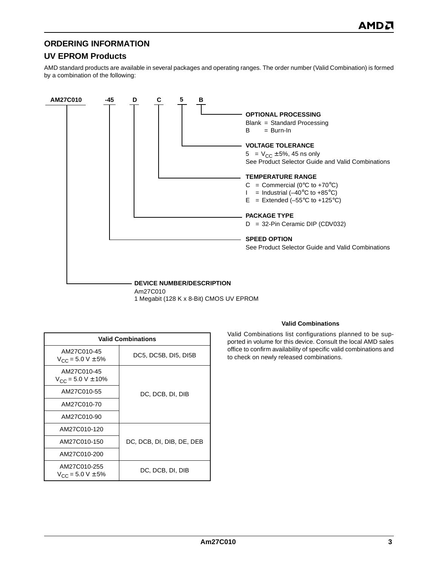# **ORDERING INFORMATION**

# **UV EPROM Products**

AMD standard products are available in several packages and operating ranges. The order number (Valid Combination) is formed by a combination of the following:



Am27C010 1 Megabit (128 K x 8-Bit) CMOS UV EPROM

| <b>Valid Combinations</b>                        |                           |  |  |  |  |  |  |
|--------------------------------------------------|---------------------------|--|--|--|--|--|--|
| AM27C010-45<br>$V_{CC}$ = 5.0 V $\pm$ 5%         | DC5, DC5B, DI5, DI5B      |  |  |  |  |  |  |
| AM27C010-45<br>$V_{CC}$ = 5.0 V $\pm$ 10%        |                           |  |  |  |  |  |  |
| AM27C010-55                                      | DC, DCB, DI, DIB          |  |  |  |  |  |  |
| AM27C010-70                                      |                           |  |  |  |  |  |  |
| AM27C010-90                                      |                           |  |  |  |  |  |  |
| AM27C010-120                                     |                           |  |  |  |  |  |  |
| AM27C010-150                                     | DC, DCB, DI, DIB, DE, DEB |  |  |  |  |  |  |
| AM27C010-200                                     |                           |  |  |  |  |  |  |
| AM27C010-255<br>$V_{\text{CC}}$ = 5.0 V $\pm$ 5% | DC, DCB, DI, DIB          |  |  |  |  |  |  |

#### **Valid Combinations**

Valid Combinations list configurations planned to be supported in volume for this device. Consult the local AMD sales office to confirm availability of specific valid combinations and to check on newly released combinations.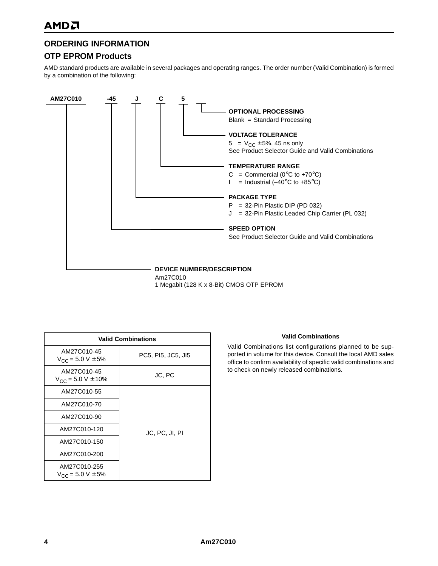# **ORDERING INFORMATION**

# **OTP EPROM Products**

AMD standard products are available in several packages and operating ranges. The order number (Valid Combination) is formed by a combination of the following:



1 Megabit (128 K x 8-Bit) CMOS OTP EPROM

| <b>Valid Combinations</b>                 |                    |  |  |  |  |  |  |
|-------------------------------------------|--------------------|--|--|--|--|--|--|
| AM27C010-45<br>$V_{CC}$ = 5.0 V $\pm$ 5%  | PC5, PI5, JC5, JI5 |  |  |  |  |  |  |
| AM27C010-45<br>$V_{CC}$ = 5.0 V $\pm$ 10% | JC, PC             |  |  |  |  |  |  |
| AM27C010-55                               |                    |  |  |  |  |  |  |
| AM27C010-70                               |                    |  |  |  |  |  |  |
| AM27C010-90                               |                    |  |  |  |  |  |  |
| AM27C010-120                              | JC, PC, JI, PI     |  |  |  |  |  |  |
| AM27C010-150                              |                    |  |  |  |  |  |  |
| AM27C010-200                              |                    |  |  |  |  |  |  |
| AM27C010-255<br>$V_{CC}$ = 5.0 V $\pm$ 5% |                    |  |  |  |  |  |  |

#### **Valid Combinations**

Valid Combinations list configurations planned to be supported in volume for this device. Consult the local AMD sales office to confirm availability of specific valid combinations and to check on newly released combinations.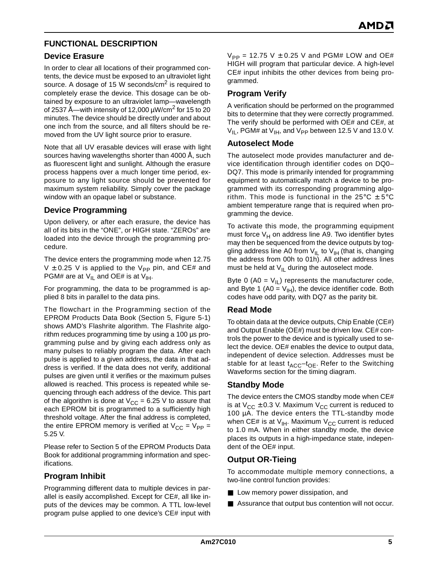# **FUNCTIONAL DESCRIPTION**

# **Device Erasure**

In order to clear all locations of their programmed contents, the device must be exposed to an ultraviolet light source. A dosage of 15 W seconds/cm<sup>2</sup> is required to completely erase the device. This dosage can be obtained by exposure to an ultraviolet lamp—wavelength of 2537 Å—with intensity of 12,000  $\mu$ W/cm<sup>2</sup> for 15 to 20 minutes. The device should be directly under and about one inch from the source, and all filters should be removed from the UV light source prior to erasure.

Note that all UV erasable devices will erase with light sources having wavelengths shorter than 4000 Å, such as fluorescent light and sunlight. Although the erasure process happens over a much longer time period, exposure to any light source should be prevented for maximum system reliability. Simply cover the package window with an opaque label or substance.

# **Device Programming**

Upon delivery, or after each erasure, the device has all of its bits in the "ONE", or HIGH state. "ZEROs" are loaded into the device through the programming procedure.

The device enters the programming mode when 12.75 V  $\pm$  0.25 V is applied to the V<sub>PP</sub> pin, and CE# and PGM# are at  $V_{IL}$  and OE# is at  $V_{IH}$ .

For programming, the data to be programmed is applied 8 bits in parallel to the data pins.

The flowchart in the Programming section of the EPROM Products Data Book (Section 5, Figure 5-1) shows AMD's Flashrite algorithm. The Flashrite algorithm reduces programming time by using a 100 µs programming pulse and by giving each address only as many pulses to reliably program the data. After each pulse is applied to a given address, the data in that address is verified. If the data does not verify, additional pulses are given until it verifies or the maximum pulses allowed is reached. This process is repeated while sequencing through each address of the device. This part of the algorithm is done at  $V_{CC} = 6.25$  V to assure that each EPROM bit is programmed to a sufficiently high threshold voltage. After the final address is completed, the entire EPROM memory is verified at  $V_{CC} = V_{PP} =$ 5.25 V.

Please refer to Section 5 of the EPROM Products Data Book for additional programming information and specifications.

# **Program Inhibit**

Programming different data to multiple devices in parallel is easily accomplished. Except for CE#, all like inputs of the devices may be common. A TTL low-level program pulse applied to one device's CE# input with  $V_{PP}$  = 12.75 V  $\pm$  0.25 V and PGM# LOW and OE# HIGH will program that particular device. A high-level CE# input inhibits the other devices from being programmed.

# **Program Verify**

A verification should be performed on the programmed bits to determine that they were correctly programmed. The verify should be performed with OE# and CE#, at  $V_{II}$ , PGM# at  $V_{IH}$ , and  $V_{PP}$  between 12.5 V and 13.0 V.

## **Autoselect Mode**

The autoselect mode provides manufacturer and device identification through identifier codes on DQ0– DQ7. This mode is primarily intended for programming equipment to automatically match a device to be programmed with its corresponding programming algorithm. This mode is functional in the 25 $\degree$ C  $\pm$  5 $\degree$ C ambient temperature range that is required when programming the device.

To activate this mode, the programming equipment must force  $V_H$  on address line A9. Two identifier bytes may then be sequenced from the device outputs by toggling address line A0 from  $V_{II}$  to  $V_{IH}$  (that is, changing the address from 00h to 01h). All other address lines must be held at  $V_{II}$  during the autoselect mode.

Byte 0 (A0 =  $V_{II}$ ) represents the manufacturer code, and Byte 1 (A0 =  $V_{H}$ ), the device identifier code. Both codes have odd parity, with DQ7 as the parity bit.

## **Read Mode**

To obtain data at the device outputs, Chip Enable (CE#) and Output Enable (OE#) must be driven low. CE# controls the power to the device and is typically used to select the device. OE# enables the device to output data, independent of device selection. Addresses must be stable for at least  $t_{ACC}$ - $t_{OE}$ . Refer to the Switching Waveforms section for the timing diagram.

## **Standby Mode**

The device enters the CMOS standby mode when CE# is at  $V_{CC} \pm 0.3$  V. Maximum  $V_{CC}$  current is reduced to 100 µA. The device enters the TTL-standby mode when CE# is at  $V_{IH}$ . Maximum  $V_{CC}$  current is reduced to 1.0 mA. When in either standby mode, the device places its outputs in a high-impedance state, independent of the OE# input.

# **Output OR-Tieing**

To accommodate multiple memory connections, a two-line control function provides:

- Low memory power dissipation, and
- Assurance that output bus contention will not occur.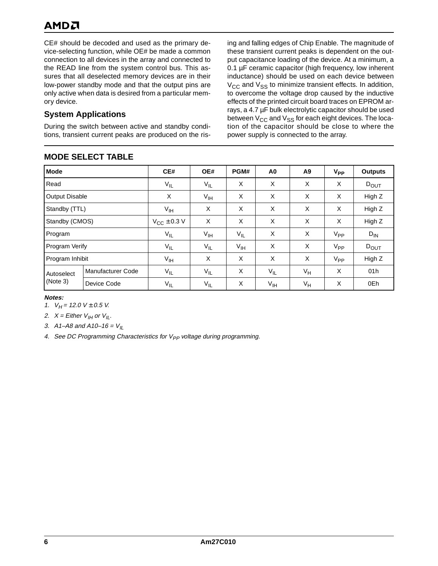# AMDA

CE# should be decoded and used as the primary device-selecting function, while OE# be made a common connection to all devices in the array and connected to the READ line from the system control bus. This assures that all deselected memory devices are in their low-power standby mode and that the output pins are only active when data is desired from a particular memory device.

# **System Applications**

During the switch between active and standby conditions, transient current peaks are produced on the ris-

# **MODE SELECT TABLE**

ing and falling edges of Chip Enable. The magnitude of these transient current peaks is dependent on the output capacitance loading of the device. At a minimum, a 0.1 µF ceramic capacitor (high frequency, low inherent inductance) should be used on each device between  $V_{\text{CC}}$  and  $V_{\text{SS}}$  to minimize transient effects. In addition, to overcome the voltage drop caused by the inductive effects of the printed circuit board traces on EPROM arrays, a 4.7 µF bulk electrolytic capacitor should be used between  $V_{CC}$  and  $V_{SS}$  for each eight devices. The location of the capacitor should be close to where the power supply is connected to the array.

| <b>Mode</b>           |                          | CE#                  | OE#             | PGM#            | A <sub>0</sub>  | A9    | $V_{PP}$ | <b>Outputs</b> |
|-----------------------|--------------------------|----------------------|-----------------|-----------------|-----------------|-------|----------|----------------|
| Read                  |                          | $V_{IL}$             | $V_{IL}$        | X               | X               | X     | X        | $D_{OUT}$      |
| <b>Output Disable</b> |                          | X                    | $V_{\text{IH}}$ | X               | X               | X     | X        | High Z         |
| Standby (TTL)         |                          | V <sub>IH</sub>      | X               | X               | X               | X     | X        | High Z         |
| Standby (CMOS)        |                          | $V_{CC}$ $\pm$ 0.3 V | X               | X               | X               | X     | X        | High Z         |
| Program               |                          | $V_{IL}$             | $V_{\text{IH}}$ | $V_{IL}$        | X               | X     | $V_{PP}$ | $D_{IN}$       |
| Program Verify        |                          | $V_{IL}$             | $V_{IL}$        | $V_{\text{IH}}$ | X               | X     | $V_{PP}$ | $D_{OUT}$      |
| Program Inhibit       |                          | $V_{\text{IH}}$      | X               | X               | X               | X     | $V_{PP}$ | High Z         |
| Autoselect            | <b>Manufacturer Code</b> | $V_{IL}$             | $V_{IL}$        | X               | $V_{IL}$        | $V_H$ | X        | 01h            |
| (Note 3)              | Device Code              | $V_{IL}$             | $V_{\sf IL}$    | X               | $V_{\text{IH}}$ | $V_H$ | X        | 0Eh            |

#### **Notes:**

1.  $V_H$  = 12.0 V ± 0.5 V.

2.  $X =$  Either  $V_{IH}$  or  $V_{IL}$ .

3. A1–A8 and A10–16 =  $V_{II}$ 

4. See DC Programming Characteristics for  $V_{PP}$  voltage during programming.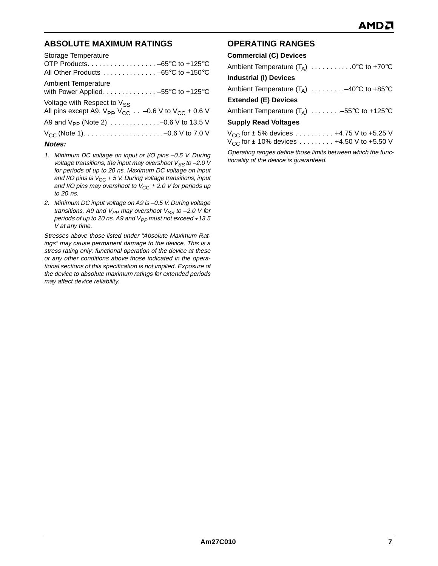# **ABSOLUTE MAXIMUM RATINGS**

| Storage Temperature                                                                     |
|-----------------------------------------------------------------------------------------|
|                                                                                         |
| All Other Products -65°C to +150°C                                                      |
| <b>Ambient Temperature</b>                                                              |
| with Power Applied. -55°C to +125°C                                                     |
| Voltage with Respect to $V_{SS}$                                                        |
| All pins except A9, $V_{\text{PP}}$ , $V_{\text{CC}}$ -0.6 V to $V_{\text{CC}}$ + 0.6 V |
|                                                                                         |
|                                                                                         |
| Notes:                                                                                  |

- 1. Minimum DC voltage on input or I/O pins –0.5 V. During voltage transitions, the input may overshoot  $V_{SS}$  to -2.0 V for periods of up to 20 ns. Maximum DC voltage on input and I/O pins is  $V_{CC}$  + 5 V. During voltage transitions, input and I/O pins may overshoot to  $V_{CC}$  + 2.0 V for periods up to 20 ns.
- 2. Minimum DC input voltage on A9 is –0.5 V. During voltage transitions, A9 and  $V_{PP}$  may overshoot  $V_{SS}$  to -2.0 V for periods of up to 20 ns. A9 and  $V_{PP}$  must not exceed +13.5 V at any time.

Stresses above those listed under "Absolute Maximum Ratings" may cause permanent damage to the device. This is a stress rating only; functional operation of the device at these or any other conditions above those indicated in the operational sections of this specification is not implied. Exposure of the device to absolute maximum ratings for extended periods may affect device reliability.

# **OPERATING RANGES**

| <b>Commercial (C) Devices</b>                     |
|---------------------------------------------------|
| Ambient Temperature $(T_A)$ 0°C to +70°C          |
| <b>Industrial (I) Devices</b>                     |
| Ambient Temperature $(T_A)$ -40°C to +85°C        |
| <b>Extended (E) Devices</b>                       |
| Ambient Temperature $(T_A)$ -55°C to +125°C       |
| <b>Supply Read Voltages</b>                       |
| $V_{CC}$ for $\pm$ 5% devices  +4.75 V to +5.25 V |
| $V_{CC}$ for ± 10% devices  +4.50 V to +5.50 V    |
|                                                   |

Operating ranges define those limits between which the functionality of the device is guaranteed.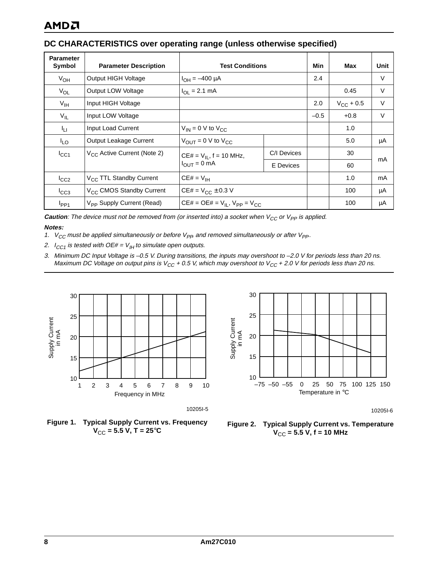# **DC CHARACTERISTICS over operating range (unless otherwise specified)**

| <b>Parameter</b><br>Symbol | <b>Parameter Description</b>          | <b>Test Conditions</b>                    | Min              | Max                | Unit   |    |
|----------------------------|---------------------------------------|-------------------------------------------|------------------|--------------------|--------|----|
| $V_{OH}$                   | Output HIGH Voltage                   | $I_{OH} = -400 \mu A$                     |                  | 2.4                |        | V  |
| $V_{OL}$                   | Output LOW Voltage                    | $I_{OL} = 2.1$ mA                         |                  |                    | 0.45   | V  |
| $V_{\text{IH}}$            | Input HIGH Voltage                    |                                           | 2.0              | $V_{\rm CC}$ + 0.5 | $\vee$ |    |
| $V_{IL}$                   | Input LOW Voltage                     |                                           | $-0.5$           | $+0.8$             | V      |    |
| Īц                         | Input Load Current                    | $V_{IN} = 0$ V to $V_{CC}$                |                  |                    | 1.0    |    |
| <sup>I</sup> LO            | <b>Output Leakage Current</b>         | $V_{\text{OUT}} = 0$ V to $V_{\text{CC}}$ |                  |                    | 5.0    | μA |
| $I_{\rm CC1}$              | $V_{CC}$ Active Current (Note 2)      | $CE# = V_{II}$ , f = 10 MHz,              | C/I Devices      |                    | 30     | mA |
|                            |                                       | $I_{OUT} = 0$ mA                          | <b>E</b> Devices |                    | 60     |    |
| $I_{CC2}$                  | V <sub>CC</sub> TTL Standby Current   | $CE# = V_{IH}$                            |                  |                    | 1.0    | mA |
| $I_{CC3}$                  | V <sub>CC</sub> CMOS Standby Current  | $CE# = V_{CC} \pm 0.3 V$                  |                  |                    | 100    | μA |
| $I_{PP1}$                  | V <sub>PP</sub> Supply Current (Read) | $CE# = OE# = V_{II}$ , $V_{PP} = V_{CC}$  |                  |                    | 100    | μA |

**Caution**: The device must not be removed from (or inserted into) a socket when  $V_{CC}$  or  $V_{PP}$  is applied. **Notes:**

- 1.  $V_{CC}$  must be applied simultaneously or before  $V_{PP}$  and removed simultaneously or after  $V_{PP}$ .
- <span id="page-7-0"></span>2.  $I_{CC1}$  is tested with OE# =  $V_{IH}$  to simulate open outputs.
- 3. Minimum DC Input Voltage is –0.5 V. During transitions, the inputs may overshoot to –2.0 V for periods less than 20 ns. Maximum DC Voltage on output pins is  $V_{CC}$  + 0.5 V, which may overshoot to  $V_{CC}$  + 2.0 V for periods less than 20 ns.



10205I-5





10205I-6

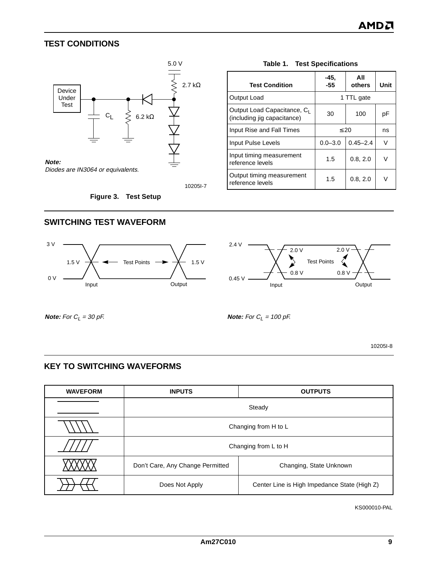# **TEST CONDITIONS**



10205I-7

**Figure 3. Test Setup**

|  | <b>Table 1. Test Specifications</b> |     |  |  |
|--|-------------------------------------|-----|--|--|
|  |                                     | ΔIΙ |  |  |

<span id="page-8-1"></span>

| <b>Test Condition</b>                                                  | -45.<br>-55 | All<br>others | Unit |  |  |  |
|------------------------------------------------------------------------|-------------|---------------|------|--|--|--|
| Output Load                                                            | 1 TTL gate  |               |      |  |  |  |
| Output Load Capacitance, C <sub>1</sub><br>(including jig capacitance) | 30          | 100           | рF   |  |  |  |
| Input Rise and Fall Times                                              | $\leq 20$   | ns            |      |  |  |  |
| Input Pulse Levels                                                     | $0.0 - 3.0$ | $0.45 - 2.4$  | V    |  |  |  |
| Input timing measurement<br>reference levels                           | 1.5         | 0.8, 2.0      | V    |  |  |  |
| Output timing measurement<br>reference levels                          | 1.5         | 0.8, 2.0      | V    |  |  |  |

#### <span id="page-8-0"></span>**SWITCHING TEST WAVEFORM**





**Note:** For  $C_L = 30 \text{ pF}$ . **Note:** For  $C_L = 100 \text{ pF}$ .

10205I-8

# **KEY TO SWITCHING WAVEFORMS**

| <b>WAVEFORM</b> | <b>INPUTS</b><br><b>OUTPUTS</b>  |                                              |  |  |  |  |  |
|-----------------|----------------------------------|----------------------------------------------|--|--|--|--|--|
|                 | Steady                           |                                              |  |  |  |  |  |
|                 |                                  | Changing from H to L                         |  |  |  |  |  |
|                 |                                  | Changing from L to H                         |  |  |  |  |  |
|                 | Don't Care, Any Change Permitted | Changing, State Unknown                      |  |  |  |  |  |
|                 | Does Not Apply                   | Center Line is High Impedance State (High Z) |  |  |  |  |  |

KS000010-PAL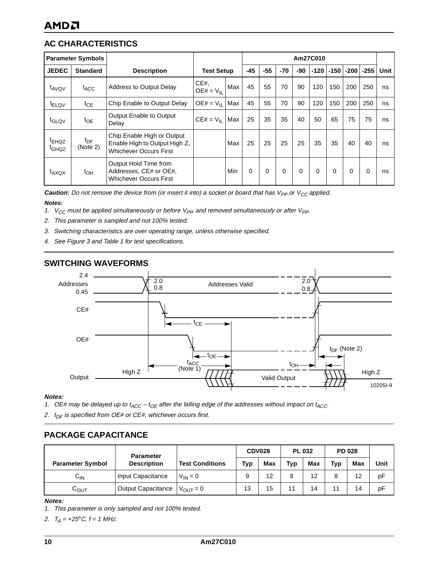# **AC CHARACTERISTICS**

|                                        | <b>Parameter Symbols</b>    |                                                                                              | Am27C010              |     |       |          |       |          |        |        |        |        |      |
|----------------------------------------|-----------------------------|----------------------------------------------------------------------------------------------|-----------------------|-----|-------|----------|-------|----------|--------|--------|--------|--------|------|
| <b>JEDEC</b>                           | <b>Standard</b>             | <b>Description</b>                                                                           | <b>Test Setup</b>     |     | $-45$ | $-55$    | $-70$ | -90      | $-120$ | $-150$ | $-200$ | $-255$ | Unit |
| t <sub>AVQV</sub>                      | t <sub>ACC</sub>            | <b>Address to Output Delay</b>                                                               | CE#<br>$OE# = V_{II}$ | Max | 45    | 55       | 70    | 90       | 120    | 150    | 200    | 250    | ns   |
| <sup>t</sup> ELQV                      | $t_{\text{CE}}$             | Chip Enable to Output Delay                                                                  | $OE# = VH$            | Max | 45    | 55       | 70    | 90       | 120    | 150    | 200    | 250    | ns   |
| t <sub>GLQV</sub>                      | $t_{OE}$                    | Output Enable to Output<br>Delay                                                             | $CE# = V_{II}$        | Max | 25    | 35       | 35    | 40       | 50     | 65     | 75     | 75     | ns   |
| <sup>t</sup> EHQZ<br>t <sub>GHQZ</sub> | t <sub>DF</sub><br>(Note 2) | Chip Enable High or Output<br>Enable High to Output High Z.<br><b>Whichever Occurs First</b> |                       | Max | 25    | 25       | 25    | 25       | 35     | 35     | 40     | 40     | ns   |
| t <sub>AXQX</sub>                      | $t_{OH}$                    | Output Hold Time from<br>Addresses, CE# or OE#,<br><b>Whichever Occurs First</b>             |                       | Min | 0     | $\Omega$ | 0     | $\Omega$ | 0      | 0      | 0      | 0      | ns   |

**Caution:** Do not remove the device from (or insert it into) a socket or board that has V<sub>PP</sub> or V<sub>CC</sub> applied. **Notes:**

- 1.  $V_{CC}$  must be applied simultaneously or before  $V_{PP}$  and removed simultaneously or after  $V_{PP}$
- <span id="page-9-0"></span>2. This parameter is sampled and not 100% tested.
- 3. Switching characteristics are over operating range, unless otherwise specified.
- 4. See [Figure 3](#page-8-0) and [Table 1](#page-8-1) for test specifications.

## **SWITCHING WAVEFORMS**



#### **Notes:**

- <span id="page-9-1"></span>1. OE# may be delayed up to  $t_{ACC} - t_{OE}$  after the falling edge of the addresses without impact on  $t_{ACC}$ .
- <span id="page-9-2"></span>2.  $t_{DF}$  is specified from OE# or CE#, whichever occurs first.

## **PACKAGE CAPACITANCE**

|                         | <b>Parameter</b>   |                        | <b>CDV028</b> |     | <b>PL 032</b> |            | <b>PD 028</b> |     |      |
|-------------------------|--------------------|------------------------|---------------|-----|---------------|------------|---------------|-----|------|
| <b>Parameter Symbol</b> | <b>Description</b> | <b>Test Conditions</b> | Typ           | Max | <b>Typ</b>    | <b>Max</b> | <b>Typ</b>    | Max | Unit |
| $C_{IN}$                | Input Capacitance  | $V_{IN} = 0$           |               | 12  |               | 12         | 8             | 12  | pF   |
| $C_{\text{OUT}}$        | Output Capacitance | $V_{OIIT} = 0$         | 13            | 15  | 11            | 14         | 11            | 14  | pF   |

#### **Notes:**

- 1. This parameter is only sampled and not 100% tested.
- 2.  $T_A = +25^{\circ}C, t = 1$  MHz.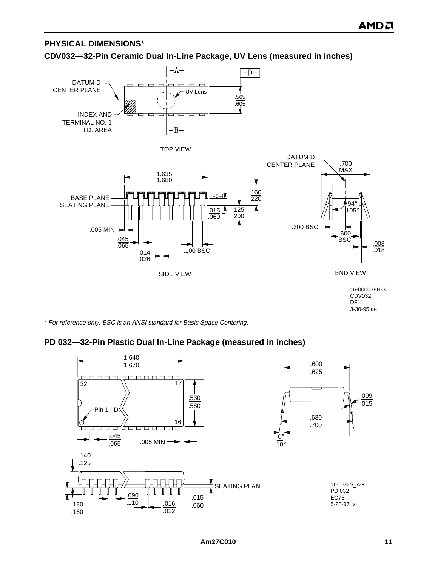# **PHYSICAL DIMENSIONS\***

**CDV032—32-Pin Ceramic Dual In-Line Package, UV Lens (measured in inches)**



\* For reference only. BSC is an ANSI standard for Basic Space Centering.

# **PD 032—32-Pin Plastic Dual In-Line Package (measured in inches)**